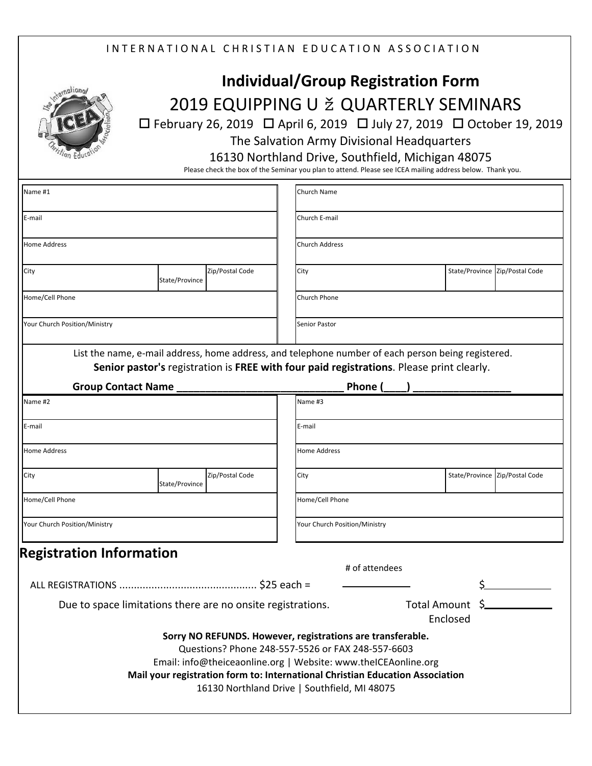## INTERNATIONAL CHRISTIAN EDUCATION ASSOCIATION



## **Individual/Group Registration Form** 2019 EQUIPPING U ž QUARTERLY SEMINARS

 February 26, 2019 April 6, 2019 July 27, 2019 October 19, 2019 The Salvation Army Divisional Headquarters

16130 Northland Drive, Southfield, Michigan 48075

Please check the box of the Seminar you plan to attend. Please see ICEA mailing address below. Thank you.

| Name #1                                                     |                |                 |  | Church Name                                                                                                                                                                                                                                                                                                        |  |  |                                |  |  |  |
|-------------------------------------------------------------|----------------|-----------------|--|--------------------------------------------------------------------------------------------------------------------------------------------------------------------------------------------------------------------------------------------------------------------------------------------------------------------|--|--|--------------------------------|--|--|--|
| E-mail                                                      |                |                 |  | Church E-mail                                                                                                                                                                                                                                                                                                      |  |  |                                |  |  |  |
| <b>Home Address</b>                                         |                |                 |  | <b>Church Address</b>                                                                                                                                                                                                                                                                                              |  |  |                                |  |  |  |
| City                                                        | State/Province | Zip/Postal Code |  | City                                                                                                                                                                                                                                                                                                               |  |  | State/Province Zip/Postal Code |  |  |  |
| Home/Cell Phone                                             |                |                 |  | Church Phone                                                                                                                                                                                                                                                                                                       |  |  |                                |  |  |  |
| Your Church Position/Ministry                               |                |                 |  | <b>Senior Pastor</b>                                                                                                                                                                                                                                                                                               |  |  |                                |  |  |  |
|                                                             |                |                 |  | List the name, e-mail address, home address, and telephone number of each person being registered.<br>Senior pastor's registration is FREE with four paid registrations. Please print clearly.                                                                                                                     |  |  |                                |  |  |  |
| <b>Group Contact Name</b>                                   |                |                 |  | Phone (                                                                                                                                                                                                                                                                                                            |  |  |                                |  |  |  |
| Name #2                                                     |                |                 |  | Name #3                                                                                                                                                                                                                                                                                                            |  |  |                                |  |  |  |
| E-mail                                                      |                |                 |  | E-mail                                                                                                                                                                                                                                                                                                             |  |  |                                |  |  |  |
| <b>Home Address</b>                                         |                |                 |  | <b>Home Address</b>                                                                                                                                                                                                                                                                                                |  |  |                                |  |  |  |
| City                                                        | State/Province | Zip/Postal Code |  | City                                                                                                                                                                                                                                                                                                               |  |  | State/Province Zip/Postal Code |  |  |  |
| Home/Cell Phone                                             |                |                 |  | Home/Cell Phone                                                                                                                                                                                                                                                                                                    |  |  |                                |  |  |  |
| Your Church Position/Ministry                               |                |                 |  | Your Church Position/Ministry                                                                                                                                                                                                                                                                                      |  |  |                                |  |  |  |
| <b>Registration Information</b>                             |                |                 |  |                                                                                                                                                                                                                                                                                                                    |  |  |                                |  |  |  |
|                                                             |                |                 |  | # of attendees                                                                                                                                                                                                                                                                                                     |  |  |                                |  |  |  |
|                                                             |                |                 |  |                                                                                                                                                                                                                                                                                                                    |  |  |                                |  |  |  |
| Due to space limitations there are no onsite registrations. |                |                 |  | Total Amount \$<br>Enclosed                                                                                                                                                                                                                                                                                        |  |  |                                |  |  |  |
|                                                             |                |                 |  | Sorry NO REFUNDS. However, registrations are transferable.<br>Questions? Phone 248-557-5526 or FAX 248-557-6603<br>Email: info@theiceaonline.org   Website: www.theICEAonline.org<br>Mail your registration form to: International Christian Education Association<br>16130 Northland Drive   Southfield, MI 48075 |  |  |                                |  |  |  |